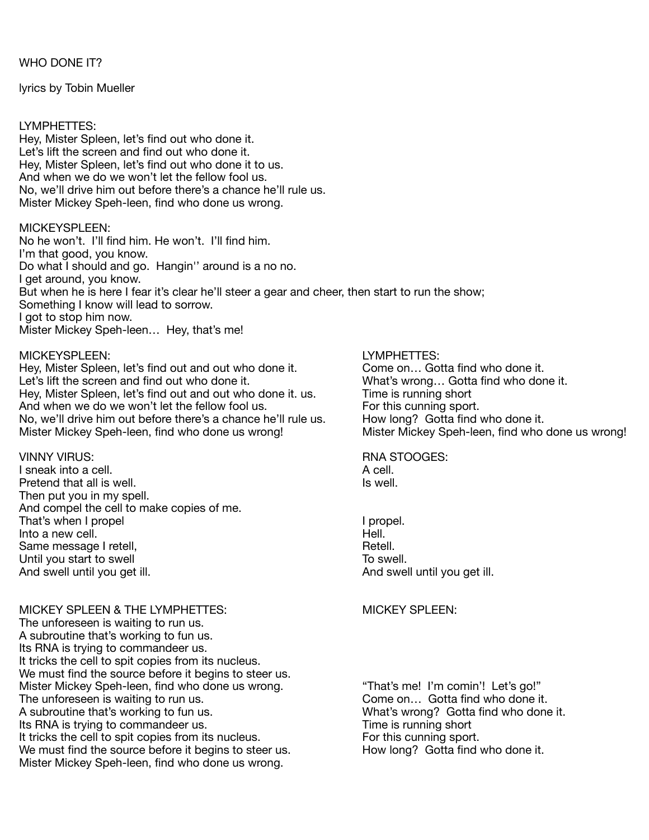WHO DONE IT?

lyrics by Tobin Mueller

## LYMPHETTES:

Hey, Mister Spleen, let's find out who done it. Let's lift the screen and find out who done it. Hey, Mister Spleen, let's find out who done it to us. And when we do we won't let the fellow fool us. No, we'll drive him out before there's a chance he'll rule us. Mister Mickey Speh-leen, find who done us wrong.

# MICKEYSPLEEN:

No he won't. I'll find him. He won't. I'll find him. I'm that good, you know. Do what I should and go. Hangin'' around is a no no. I get around, you know. But when he is here I fear it's clear he'll steer a gear and cheer, then start to run the show; Something I know will lead to sorrow. I got to stop him now. Mister Mickey Speh-leen… Hey, that's me!

### MICKEYSPLEEN: LYMPHETTES:

Hey, Mister Spleen, let's find out and out who done it. Come on... Gotta find who done it. Let's lift the screen and find out who done it. <br>
Hey, Mister Spleen, let's find out and out who done it. us. Time is running short Hey, Mister Spleen, let's find out and out who done it. us. And when we do we won't let the fellow fool us. The same of this cunning sport. No, we'll drive him out before there's a chance he'll rule us. How long? Gotta find who done it. Mister Mickey Speh-leen, find who done us wrong! Mister Mickey Speh-leen, find who done us wrong!

VINNY VIRUS: RNA STOOGES: I sneak into a cell. A cell. Pretend that all is well. **If you can all is well** and  $\alpha$  is well. Then put you in my spell. And compel the cell to make copies of me. That's when I propel **by a structure of the Contract Contract Contract Contract Contract Contract Contract Contract Contract Contract Contract Contract Contract Contract Contract Contract Contract Contract Contract Contrac** nto a new cell.<br>
Same message I retell. 
Same message I retell. Same message I retell. Until you start to swell **Development Until you start to swell** And swell until you get ill.  $\blacksquare$   $\blacksquare$   $\blacksquare$   $\blacksquare$   $\blacksquare$   $\blacksquare$   $\blacksquare$   $\blacksquare$   $\blacksquare$   $\blacksquare$   $\blacksquare$   $\blacksquare$   $\blacksquare$   $\blacksquare$   $\blacksquare$   $\blacksquare$   $\blacksquare$   $\blacksquare$   $\blacksquare$   $\blacksquare$   $\blacksquare$   $\blacksquare$   $\blacksquare$   $\blacksquare$   $\blacksquare$   $\blacksquare$   $\blacksquare$   $\blacks$ 

MICKEY SPLEEN & THE LYMPHETTES: WE CONSIDER MICKEY SPLEEN: The unforeseen is waiting to run us. A subroutine that's working to fun us. Its RNA is trying to commandeer us. It tricks the cell to spit copies from its nucleus. We must find the source before it begins to steer us. Mister Mickey Speh-leen, find who done us wrong. "That's me! I'm comin'! Let's go!" The unforeseen is waiting to run us.<br>
A subroutine that's working to fun us.<br>
A subroutine that's working to fun us.<br>
What's wrong? Gotta find who done Its RNA is trying to commandeer us. It tricks the cell to spit copies from its nucleus. <br>
We must find the source before it begins to steer us. 
We must find who done it. We must find the source before it begins to steer us. Mister Mickey Speh-leen, find who done us wrong. 

What's wrong? Gotta find who done it.<br>Time is running short